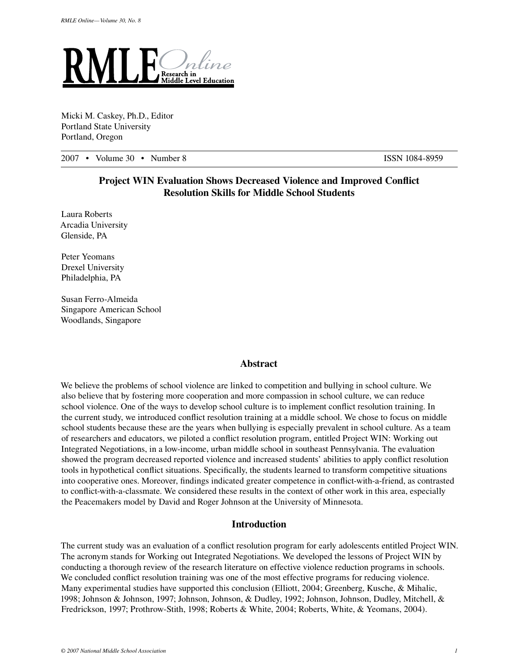

Micki M. Caskey, Ph.D., Editor Portland State University Portland, Oregon

2007 • Volume 30 • Number 8 ISSN 1084-8959

# **Project WIN Evaluation Shows Decreased Violence and Improved Conflict Resolution Skills for Middle School Students**

Laura Roberts Arcadia University Glenside, PA

Peter Yeomans Drexel University Philadelphia, PA

Susan Ferro-Almeida Singapore American School Woodlands, Singapore

# **Abstract**

We believe the problems of school violence are linked to competition and bullying in school culture. We also believe that by fostering more cooperation and more compassion in school culture, we can reduce school violence. One of the ways to develop school culture is to implement conflict resolution training. In the current study, we introduced conflict resolution training at a middle school. We chose to focus on middle school students because these are the years when bullying is especially prevalent in school culture. As a team of researchers and educators, we piloted a conflict resolution program, entitled Project WIN: Working out Integrated Negotiations, in a low-income, urban middle school in southeast Pennsylvania. The evaluation showed the program decreased reported violence and increased students' abilities to apply conflict resolution tools in hypothetical conflict situations. Specifically, the students learned to transform competitive situations into cooperative ones. Moreover, findings indicated greater competence in conflict-with-a-friend, as contrasted to conflict-with-a-classmate. We considered these results in the context of other work in this area, especially the Peacemakers model by David and Roger Johnson at the University of Minnesota.

# **Introduction**

The current study was an evaluation of a conflict resolution program for early adolescents entitled Project WIN. The acronym stands for Working out Integrated Negotiations. We developed the lessons of Project WIN by conducting a thorough review of the research literature on effective violence reduction programs in schools. We concluded conflict resolution training was one of the most effective programs for reducing violence. Many experimental studies have supported this conclusion (Elliott, 2004; Greenberg, Kusche, & Mihalic, 1998; Johnson & Johnson, 1997; Johnson, Johnson, & Dudley, 1992; Johnson, Johnson, Dudley, Mitchell, & Fredrickson, 1997; Prothrow-Stith, 1998; Roberts & White, 2004; Roberts, White, & Yeomans, 2004).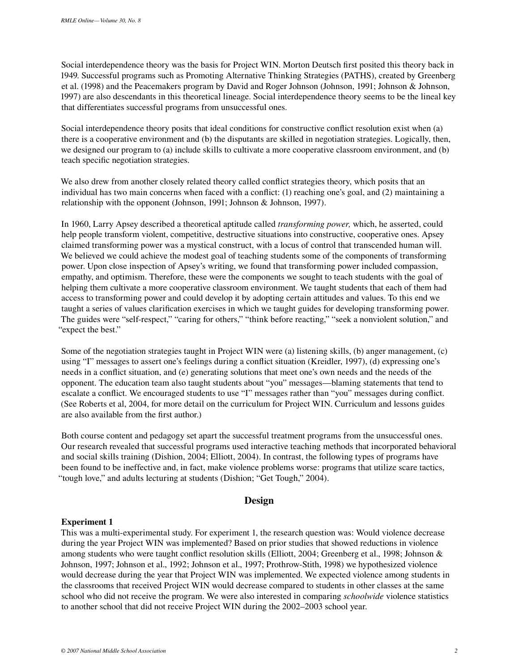Social interdependence theory was the basis for Project WIN. Morton Deutsch first posited this theory back in 1949. Successful programs such as Promoting Alternative Thinking Strategies (PATHS), created by Greenberg et al. (1998) and the Peacemakers program by David and Roger Johnson (Johnson, 1991; Johnson & Johnson, 1997) are also descendants in this theoretical lineage. Social interdependence theory seems to be the lineal key that differentiates successful programs from unsuccessful ones.

Social interdependence theory posits that ideal conditions for constructive conflict resolution exist when (a) there is a cooperative environment and (b) the disputants are skilled in negotiation strategies. Logically, then, we designed our program to (a) include skills to cultivate a more cooperative classroom environment, and (b) teach specific negotiation strategies.

We also drew from another closely related theory called conflict strategies theory, which posits that an individual has two main concerns when faced with a conflict: (1) reaching one's goal, and (2) maintaining a relationship with the opponent (Johnson, 1991; Johnson & Johnson, 1997).

In 1960, Larry Apsey described a theoretical aptitude called *transforming power,* which, he asserted, could help people transform violent, competitive, destructive situations into constructive, cooperative ones. Apsey claimed transforming power was a mystical construct, with a locus of control that transcended human will. We believed we could achieve the modest goal of teaching students some of the components of transforming power. Upon close inspection of Apsey's writing, we found that transforming power included compassion, empathy, and optimism. Therefore, these were the components we sought to teach students with the goal of helping them cultivate a more cooperative classroom environment. We taught students that each of them had access to transforming power and could develop it by adopting certain attitudes and values. To this end we taught a series of values clarification exercises in which we taught guides for developing transforming power. The guides were "self-respect," "caring for others," "think before reacting," "seek a nonviolent solution," and "expect the best."

Some of the negotiation strategies taught in Project WIN were (a) listening skills, (b) anger management, (c) using "I" messages to assert one's feelings during a conflict situation (Kreidler, 1997), (d) expressing one's needs in a conflict situation, and (e) generating solutions that meet one's own needs and the needs of the opponent. The education team also taught students about "you" messages—blaming statements that tend to escalate a conflict. We encouraged students to use "I" messages rather than "you" messages during conflict. (See Roberts et al, 2004, for more detail on the curriculum for Project WIN. Curriculum and lessons guides are also available from the first author.)

Both course content and pedagogy set apart the successful treatment programs from the unsuccessful ones. Our research revealed that successful programs used interactive teaching methods that incorporated behavioral and social skills training (Dishion, 2004; Elliott, 2004). In contrast, the following types of programs have been found to be ineffective and, in fact, make violence problems worse: programs that utilize scare tactics, "tough love," and adults lecturing at students (Dishion; "Get Tough," 2004).

### **Design**

### **Experiment 1**

This was a multi-experimental study. For experiment 1, the research question was: Would violence decrease during the year Project WIN was implemented? Based on prior studies that showed reductions in violence among students who were taught conflict resolution skills (Elliott, 2004; Greenberg et al., 1998; Johnson & Johnson, 1997; Johnson et al., 1992; Johnson et al., 1997; Prothrow-Stith, 1998) we hypothesized violence would decrease during the year that Project WIN was implemented. We expected violence among students in the classrooms that received Project WIN would decrease compared to students in other classes at the same school who did not receive the program. We were also interested in comparing *schoolwide* violence statistics to another school that did not receive Project WIN during the 2002–2003 school year.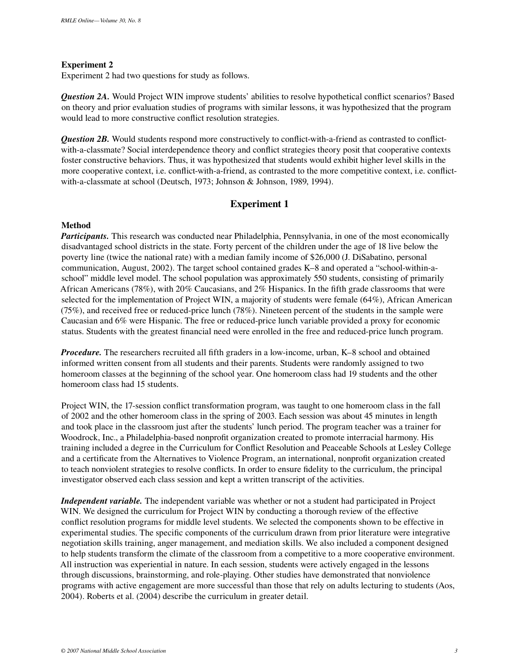#### **Experiment 2**

Experiment 2 had two questions for study as follows.

*Question 2A.* Would Project WIN improve students' abilities to resolve hypothetical conflict scenarios? Based on theory and prior evaluation studies of programs with similar lessons, it was hypothesized that the program would lead to more constructive conflict resolution strategies.

*Question 2B.* Would students respond more constructively to conflict-with-a-friend as contrasted to conflictwith-a-classmate? Social interdependence theory and conflict strategies theory posit that cooperative contexts foster constructive behaviors. Thus, it was hypothesized that students would exhibit higher level skills in the more cooperative context, i.e. conflict-with-a-friend, as contrasted to the more competitive context, i.e. conflictwith-a-classmate at school (Deutsch, 1973; Johnson & Johnson, 1989, 1994).

# **Experiment 1**

### **Method**

*Participants.* This research was conducted near Philadelphia, Pennsylvania, in one of the most economically disadvantaged school districts in the state. Forty percent of the children under the age of 18 live below the poverty line (twice the national rate) with a median family income of \$26,000 (J. DiSabatino, personal communication, August, 2002). The target school contained grades K–8 and operated a "school-within-aschool" middle level model. The school population was approximately 550 students, consisting of primarily African Americans (78%), with 20% Caucasians, and 2% Hispanics. In the fifth grade classrooms that were selected for the implementation of Project WIN, a majority of students were female (64%), African American (75%), and received free or reduced-price lunch (78%). Nineteen percent of the students in the sample were Caucasian and 6% were Hispanic. The free or reduced-price lunch variable provided a proxy for economic status. Students with the greatest financial need were enrolled in the free and reduced-price lunch program.

*Procedure.* The researchers recruited all fifth graders in a low-income, urban, K–8 school and obtained informed written consent from all students and their parents. Students were randomly assigned to two homeroom classes at the beginning of the school year. One homeroom class had 19 students and the other homeroom class had 15 students.

Project WIN, the 17-session conflict transformation program, was taught to one homeroom class in the fall of 2002 and the other homeroom class in the spring of 2003. Each session was about 45 minutes in length and took place in the classroom just after the students' lunch period. The program teacher was a trainer for Woodrock, Inc., a Philadelphia-based nonprofit organization created to promote interracial harmony. His training included a degree in the Curriculum for Conflict Resolution and Peaceable Schools at Lesley College and a certificate from the Alternatives to Violence Program, an international, nonprofit organization created to teach nonviolent strategies to resolve conflicts. In order to ensure fidelity to the curriculum, the principal investigator observed each class session and kept a written transcript of the activities.

*Independent variable.* The independent variable was whether or not a student had participated in Project WIN. We designed the curriculum for Project WIN by conducting a thorough review of the effective conflict resolution programs for middle level students. We selected the components shown to be effective in experimental studies. The specific components of the curriculum drawn from prior literature were integrative negotiation skills training, anger management, and mediation skills. We also included a component designed to help students transform the climate of the classroom from a competitive to a more cooperative environment. All instruction was experiential in nature. In each session, students were actively engaged in the lessons through discussions, brainstorming, and role-playing. Other studies have demonstrated that nonviolence programs with active engagement are more successful than those that rely on adults lecturing to students (Aos, 2004). Roberts et al. (2004) describe the curriculum in greater detail.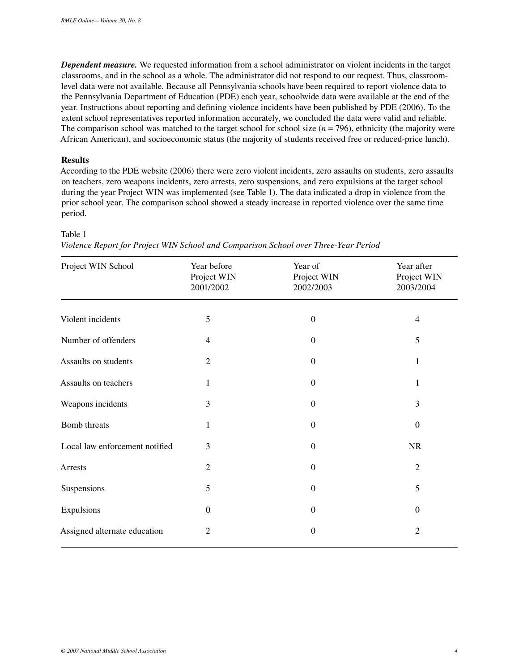*Dependent measure.* We requested information from a school administrator on violent incidents in the target classrooms, and in the school as a whole. The administrator did not respond to our request. Thus, classroomlevel data were not available. Because all Pennsylvania schools have been required to report violence data to the Pennsylvania Department of Education (PDE) each year, schoolwide data were available at the end of the year. Instructions about reporting and defining violence incidents have been published by PDE (2006). To the extent school representatives reported information accurately, we concluded the data were valid and reliable. The comparison school was matched to the target school for school size (*n* = 796), ethnicity (the majority were African American), and socioeconomic status (the majority of students received free or reduced-price lunch).

#### **Results**

According to the PDE website (2006) there were zero violent incidents, zero assaults on students, zero assaults on teachers, zero weapons incidents, zero arrests, zero suspensions, and zero expulsions at the target school during the year Project WIN was implemented (see Table 1). The data indicated a drop in violence from the prior school year. The comparison school showed a steady increase in reported violence over the same time period.

| Project WIN School             | Year before<br>Project WIN<br>2001/2002 | Year of<br>Project WIN<br>2002/2003 | Year after<br>Project WIN<br>2003/2004 |
|--------------------------------|-----------------------------------------|-------------------------------------|----------------------------------------|
| Violent incidents              | 5                                       | $\boldsymbol{0}$                    | $\overline{4}$                         |
| Number of offenders            | 4                                       | $\boldsymbol{0}$                    | 5                                      |
| Assaults on students           | 2                                       | $\boldsymbol{0}$                    | 1                                      |
| Assaults on teachers           | 1                                       | $\mathbf{0}$                        | 1                                      |
| Weapons incidents              | 3                                       | $\overline{0}$                      | 3                                      |
| Bomb threats                   | 1                                       | $\boldsymbol{0}$                    | $\boldsymbol{0}$                       |
| Local law enforcement notified | 3                                       | $\boldsymbol{0}$                    | NR                                     |
| Arrests                        | $\overline{2}$                          | $\boldsymbol{0}$                    | $\overline{2}$                         |
| Suspensions                    | 5                                       | $\overline{0}$                      | 5                                      |
| Expulsions                     | $\overline{0}$                          | $\boldsymbol{0}$                    | $\mathbf{0}$                           |
| Assigned alternate education   | 2                                       | $\boldsymbol{0}$                    | $\overline{2}$                         |

#### Table 1

*Violence Report for Project WIN School and Comparison School over Three-Year Period*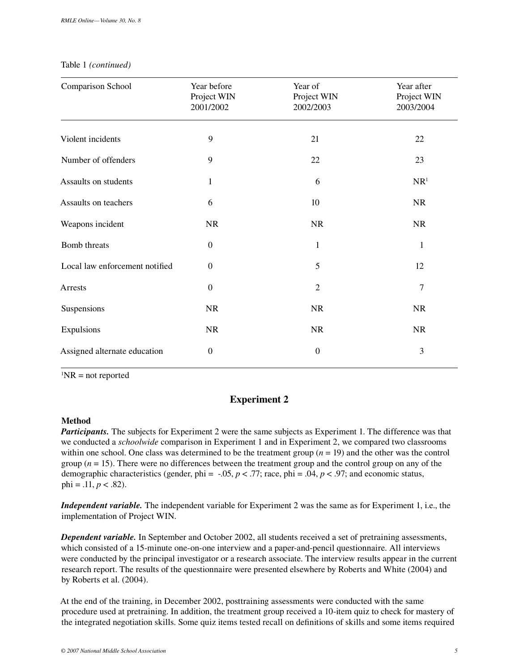#### Table 1 *(continued)*

| Comparison School              | Year before<br>Project WIN<br>2001/2002 | Year of<br>Project WIN<br>2002/2003 | Year after<br>Project WIN<br>2003/2004 |
|--------------------------------|-----------------------------------------|-------------------------------------|----------------------------------------|
| Violent incidents              | 9                                       | 21                                  | 22                                     |
| Number of offenders            | 9                                       | $22\,$                              | 23                                     |
| Assaults on students           | 1                                       | 6                                   | NR <sup>1</sup>                        |
| Assaults on teachers           | 6                                       | $10\,$                              | <b>NR</b>                              |
| Weapons incident               | NR                                      | NR                                  | <b>NR</b>                              |
| Bomb threats                   | $\boldsymbol{0}$                        | 1                                   | $\mathbf{1}$                           |
| Local law enforcement notified | $\boldsymbol{0}$                        | 5                                   | 12                                     |
| Arrests                        | $\overline{0}$                          | $\overline{2}$                      | 7                                      |
| Suspensions                    | NR                                      | NR                                  | <b>NR</b>                              |
| Expulsions                     | <b>NR</b>                               | <b>NR</b>                           | <b>NR</b>                              |
| Assigned alternate education   | $\boldsymbol{0}$                        | $\boldsymbol{0}$                    | 3                                      |

 ${}^{1}NR = not$  reported

# **Experiment 2**

# **Method**

*Participants.* The subjects for Experiment 2 were the same subjects as Experiment 1. The difference was that we conducted a *schoolwide* comparison in Experiment 1 and in Experiment 2, we compared two classrooms within one school. One class was determined to be the treatment group  $(n = 19)$  and the other was the control group  $(n = 15)$ . There were no differences between the treatment group and the control group on any of the demographic characteristics (gender, phi =  $-0.05$ ,  $p < 0.77$ ; race, phi =  $-0.04$ ,  $p < 0.97$ ; and economic status, phi = .11,  $p < .82$ ).

*Independent variable.* The independent variable for Experiment 2 was the same as for Experiment 1, i.e., the implementation of Project WIN.

*Dependent variable.* In September and October 2002, all students received a set of pretraining assessments, which consisted of a 15-minute one-on-one interview and a paper-and-pencil questionnaire. All interviews were conducted by the principal investigator or a research associate. The interview results appear in the current research report. The results of the questionnaire were presented elsewhere by Roberts and White (2004) and by Roberts et al. (2004).

At the end of the training, in December 2002, posttraining assessments were conducted with the same procedure used at pretraining. In addition, the treatment group received a 10-item quiz to check for mastery of the integrated negotiation skills. Some quiz items tested recall on definitions of skills and some items required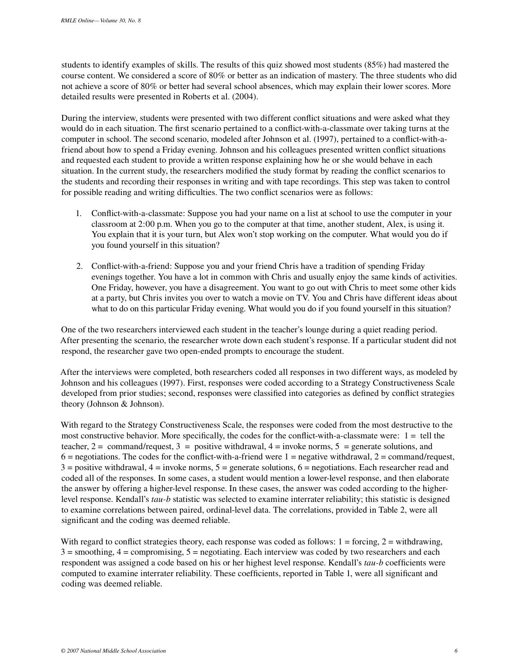students to identify examples of skills. The results of this quiz showed most students (85%) had mastered the course content. We considered a score of 80% or better as an indication of mastery. The three students who did not achieve a score of 80% or better had several school absences, which may explain their lower scores. More detailed results were presented in Roberts et al. (2004).

During the interview, students were presented with two different conflict situations and were asked what they would do in each situation. The first scenario pertained to a conflict-with-a-classmate over taking turns at the computer in school. The second scenario, modeled after Johnson et al. (1997), pertained to a conflict-with-afriend about how to spend a Friday evening. Johnson and his colleagues presented written conflict situations and requested each student to provide a written response explaining how he or she would behave in each situation. In the current study, the researchers modified the study format by reading the conflict scenarios to the students and recording their responses in writing and with tape recordings. This step was taken to control for possible reading and writing difficulties. The two conflict scenarios were as follows:

- 1. Conflict-with-a-classmate: Suppose you had your name on a list at school to use the computer in your classroom at 2:00 p.m. When you go to the computer at that time, another student, Alex, is using it. You explain that it is your turn, but Alex won't stop working on the computer. What would you do if you found yourself in this situation?
- 2. Conflict-with-a-friend: Suppose you and your friend Chris have a tradition of spending Friday evenings together. You have a lot in common with Chris and usually enjoy the same kinds of activities. One Friday, however, you have a disagreement. You want to go out with Chris to meet some other kids at a party, but Chris invites you over to watch a movie on TV. You and Chris have different ideas about what to do on this particular Friday evening. What would you do if you found yourself in this situation?

One of the two researchers interviewed each student in the teacher's lounge during a quiet reading period. After presenting the scenario, the researcher wrote down each student's response. If a particular student did not respond, the researcher gave two open-ended prompts to encourage the student.

After the interviews were completed, both researchers coded all responses in two different ways, as modeled by Johnson and his colleagues (1997). First, responses were coded according to a Strategy Constructiveness Scale developed from prior studies; second, responses were classified into categories as defined by conflict strategies theory (Johnson & Johnson).

With regard to the Strategy Constructiveness Scale, the responses were coded from the most destructive to the most constructive behavior. More specifically, the codes for the conflict-with-a-classmate were:  $1 = \text{ tell the}$ teacher,  $2 = \text{command/request}, 3 = \text{positive withdrawal}, 4 = \text{invoke norms}, 5 = \text{generate solutions}, \text{and}$  $6$  = negotiations. The codes for the conflict-with-a-friend were 1 = negative withdrawal, 2 = command/request,  $3 =$  positive withdrawal,  $4 =$  invoke norms,  $5 =$  generate solutions,  $6 =$  negotiations. Each researcher read and coded all of the responses. In some cases, a student would mention a lower-level response, and then elaborate the answer by offering a higher-level response. In these cases, the answer was coded according to the higherlevel response. Kendall's *tau-b* statistic was selected to examine interrater reliability; this statistic is designed to examine correlations between paired, ordinal-level data. The correlations, provided in Table 2, were all significant and the coding was deemed reliable.

With regard to conflict strategies theory, each response was coded as follows:  $1 =$  forcing,  $2 =$  withdrawing,  $3 =$  smoothing,  $4 =$  compromising,  $5 =$  negotiating. Each interview was coded by two researchers and each respondent was assigned a code based on his or her highest level response. Kendall's *tau-b* coefficients were computed to examine interrater reliability. These coefficients, reported in Table 1, were all significant and coding was deemed reliable.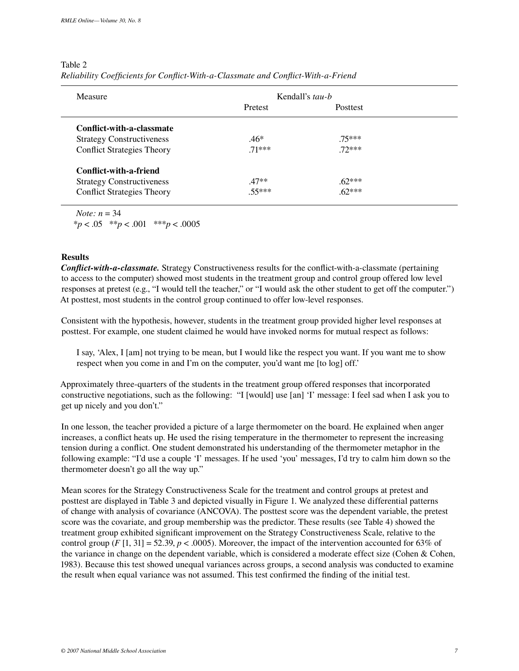## Table 2

|  | Reliability Coefficients for Conflict-With-a-Classmate and Conflict-With-a-Friend |  |  |
|--|-----------------------------------------------------------------------------------|--|--|
|  |                                                                                   |  |  |
|  |                                                                                   |  |  |

| <b>Measure</b>                    |          | Kendall's tau-b |  |
|-----------------------------------|----------|-----------------|--|
|                                   | Pretest  | <b>Posttest</b> |  |
| Conflict-with-a-classmate         |          |                 |  |
| <b>Strategy Constructiveness</b>  | $.46*$   | $75***$         |  |
| <b>Conflict Strategies Theory</b> | $71***$  | $72***$         |  |
| Conflict-with-a-friend            |          |                 |  |
| <b>Strategy Constructiveness</b>  | $.47**$  | $.62***$        |  |
| <b>Conflict Strategies Theory</b> | $.55***$ | $.62***$        |  |

*Note: n* = 34 \**p* < .05 \*\**p* < .001 \*\*\**p* < .0005

### **Results**

*Conflict-with-a-classmate.* Strategy Constructiveness results for the conflict-with-a-classmate (pertaining to access to the computer) showed most students in the treatment group and control group offered low level responses at pretest (e.g., "I would tell the teacher," or "I would ask the other student to get off the computer.") At posttest, most students in the control group continued to offer low-level responses.

Consistent with the hypothesis, however, students in the treatment group provided higher level responses at posttest. For example, one student claimed he would have invoked norms for mutual respect as follows:

I say, 'Alex, I [am] not trying to be mean, but I would like the respect you want. If you want me to show respect when you come in and I'm on the computer, you'd want me [to log] off.'

Approximately three-quarters of the students in the treatment group offered responses that incorporated constructive negotiations, such as the following: "I [would] use [an] 'I' message: I feel sad when I ask you to get up nicely and you don't."

In one lesson, the teacher provided a picture of a large thermometer on the board. He explained when anger increases, a conflict heats up. He used the rising temperature in the thermometer to represent the increasing tension during a conflict. One student demonstrated his understanding of the thermometer metaphor in the following example: "I'd use a couple 'I' messages. If he used 'you' messages, I'd try to calm him down so the thermometer doesn't go all the way up."

Mean scores for the Strategy Constructiveness Scale for the treatment and control groups at pretest and posttest are displayed in Table 3 and depicted visually in Figure 1. We analyzed these differential patterns of change with analysis of covariance (ANCOVA). The posttest score was the dependent variable, the pretest score was the covariate, and group membership was the predictor. These results (see Table 4) showed the treatment group exhibited significant improvement on the Strategy Constructiveness Scale, relative to the control group (*F* [1, 31] = 52.39, *p* < .0005). Moreover, the impact of the intervention accounted for 63% of the variance in change on the dependent variable, which is considered a moderate effect size (Cohen & Cohen, 1983). Because this test showed unequal variances across groups, a second analysis was conducted to examine the result when equal variance was not assumed. This test confirmed the finding of the initial test.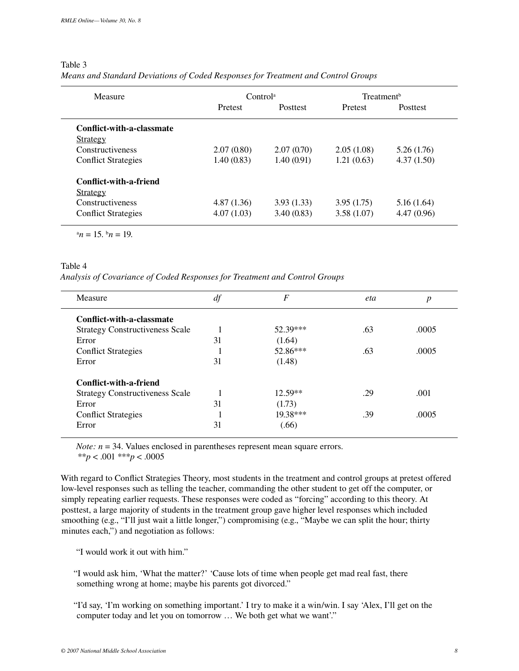### Table 3

*Means and Standard Deviations of Coded Responses for Treatment and Control Groups*

| Measure                    | Control <sup>a</sup> |                 | Treatment <sup>b</sup> |                 |
|----------------------------|----------------------|-----------------|------------------------|-----------------|
|                            | Pretest              | <b>Posttest</b> | Pretest                | <b>Posttest</b> |
| Conflict-with-a-classmate  |                      |                 |                        |                 |
| Strategy                   |                      |                 |                        |                 |
| Constructiveness           | 2.07(0.80)           | 2.07(0.70)      | 2.05(1.08)             | 5.26(1.76)      |
| <b>Conflict Strategies</b> | 1.40(0.83)           | 1.40(0.91)      | 1.21(0.63)             | 4.37(1.50)      |
| Conflict-with-a-friend     |                      |                 |                        |                 |
| Strategy                   |                      |                 |                        |                 |
| Constructiveness           | 4.87(1.36)           | 3.93(1.33)      | 3.95(1.75)             | 5.16 (1.64)     |
| <b>Conflict Strategies</b> | 4.07(1.03)           | 3.40(0.83)      | 3.58(1.07)             | 4.47(0.96)      |

 $a_n = 15$ .  $b_n = 19$ .

#### Table 4

*Analysis of Covariance of Coded Responses for Treatment and Control Groups*

| Measure                                | df | $\boldsymbol{F}$ | eta | $\boldsymbol{p}$ |  |
|----------------------------------------|----|------------------|-----|------------------|--|
| Conflict-with-a-classmate              |    |                  |     |                  |  |
| <b>Strategy Constructiveness Scale</b> | 1  | 52.39***         | .63 | .0005            |  |
| Error                                  | 31 | (1.64)           |     |                  |  |
| <b>Conflict Strategies</b>             |    | 52.86***         | .63 | .0005            |  |
| Error                                  | 31 | (1.48)           |     |                  |  |
| Conflict-with-a-friend                 |    |                  |     |                  |  |
| <b>Strategy Constructiveness Scale</b> |    | $12.59**$        | .29 | .001             |  |
| Error                                  | 31 | (1.73)           |     |                  |  |
| <b>Conflict Strategies</b>             |    | 19.38***         | .39 | .0005            |  |
| Error                                  | 31 | (.66)            |     |                  |  |

*Note:*  $n = 34$ . Values enclosed in parentheses represent mean square errors. \*\**p* < .001 \*\*\**p* < .0005

With regard to Conflict Strategies Theory, most students in the treatment and control groups at pretest offered low-level responses such as telling the teacher, commanding the other student to get off the computer, or simply repeating earlier requests. These responses were coded as "forcing" according to this theory. At posttest, a large majority of students in the treatment group gave higher level responses which included smoothing (e.g., "I'll just wait a little longer,") compromising (e.g., "Maybe we can split the hour; thirty minutes each,") and negotiation as follows:

"I would work it out with him."

"I would ask him, 'What the matter?' 'Cause lots of time when people get mad real fast, there something wrong at home; maybe his parents got divorced."

"I'd say, 'I'm working on something important.' I try to make it a win/win. I say 'Alex, I'll get on the computer today and let you on tomorrow … We both get what we want'."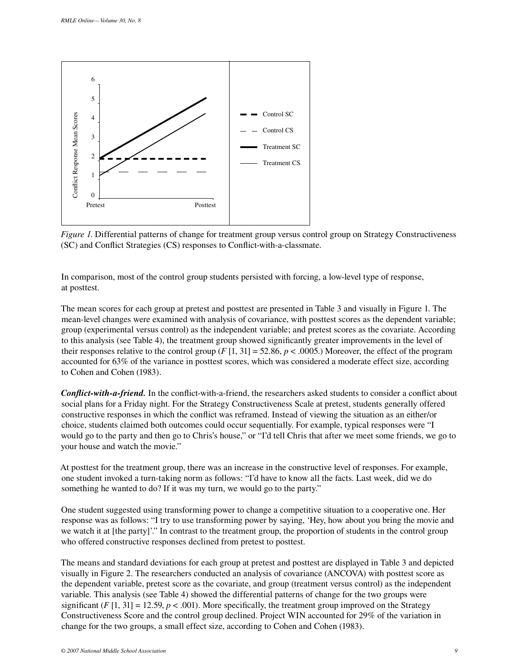



In comparison, most of the control group students persisted with forcing, a low-level type of response, at posttest.

The mean scores for each group at pretest and posttest are presented in Table 3 and visually in Figure 1. The mean-level changes were examined with analysis of covariance, with posttest scores as the dependent variable; group (experimental versus control) as the independent variable; and pretest scores as the covariate. According to this analysis (see Table 4), the treatment group showed significantly greater improvements in the level of their responses relative to the control group ( $F[1, 31] = 52.86$ ,  $p < .0005$ .) Moreover, the effect of the program accounted for 63% of the variance in posttest scores, which was considered a moderate effect size, according to Cohen and Cohen (1983).

*Conflict-with-a-friend.* In the conflict-with-a-friend, the researchers asked students to consider a conflict about social plans for a Friday night. For the Strategy Constructiveness Scale at pretest, students generally offered constructive responses in which the conflict was reframed. Instead of viewing the situation as an either/or choice, students claimed both outcomes could occur sequentially. For example, typical responses were "I would go to the party and then go to Chris's house," or "I'd tell Chris that after we meet some friends, we go to your house and watch the movie."

At posttest for the treatment group, there was an increase in the constructive level of responses. For example, one student invoked a turn-taking norm as follows: "I'd have to know all the facts. Last week, did we do something he wanted to do? If it was my turn, we would go to the party."

One student suggested using transforming power to change a competitive situation to a cooperative one. Her response was as follows: "I try to use transforming power by saying, 'Hey, how about you bring the movie and we watch it at [the party]'." In contrast to the treatment group, the proportion of students in the control group who offered constructive responses declined from pretest to posttest.

The means and standard deviations for each group at pretest and posttest are displayed in Table 3 and depicted visually in Figure 2. The researchers conducted an analysis of covariance (ANCOVA) with posttest score as the dependent variable, pretest score as the covariate, and group (treatment versus control) as the independent variable. This analysis (see Table 4) showed the differential patterns of change for the two groups were significant  $(F[1, 31] = 12.59, p < .001)$ . More specifically, the treatment group improved on the Strategy Constructiveness Score and the control group declined. Project WIN accounted for 29% of the variation in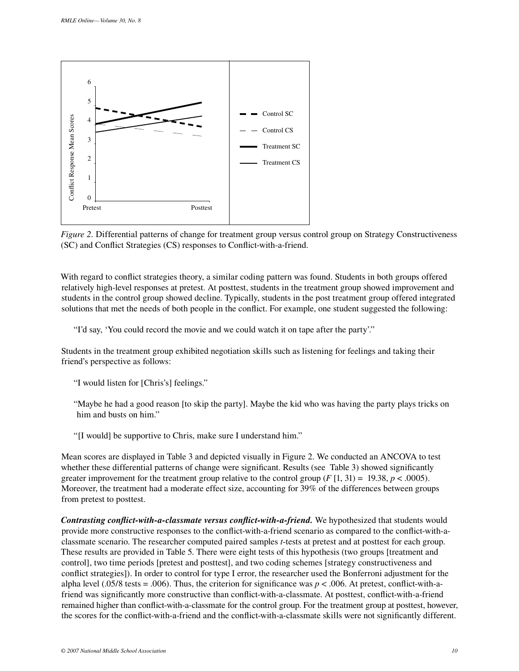

*Figure 2.* Differential patterns of change for treatment group versus control group on Strategy Constructiveness (SC) and Conflict Strategies (CS) responses to Conflict-with-a-friend.

With regard to conflict strategies theory, a similar coding pattern was found. Students in both groups offered relatively high-level responses at pretest. At posttest, students in the treatment group showed improvement and students in the control group showed decline. Typically, students in the post treatment group offered integrated solutions that met the needs of both people in the conflict. For example, one student suggested the following:

"I'd say, 'You could record the movie and we could watch it on tape after the party'."

Students in the treatment group exhibited negotiation skills such as listening for feelings and taking their friend's perspective as follows:

- "I would listen for [Chris's] feelings."
- "Maybe he had a good reason [to skip the party]. Maybe the kid who was having the party plays tricks on him and busts on him."

"[I would] be supportive to Chris, make sure I understand him."

Mean scores are displayed in Table 3 and depicted visually in Figure 2. We conducted an ANCOVA to test whether these differential patterns of change were significant. Results (see Table 3) showed significantly greater improvement for the treatment group relative to the control group  $(F[1, 31) = 19.38, p < .0005)$ . Moreover, the treatment had a moderate effect size, accounting for 39% of the differences between groups from pretest to posttest.

*Contrasting conflict-with-a-classmate versus conflict-with-a-friend.* We hypothesized that students would provide more constructive responses to the conflict-with-a-friend scenario as compared to the conflict-with-aclassmate scenario. The researcher computed paired samples *t*-tests at pretest and at posttest for each group. These results are provided in Table 5. There were eight tests of this hypothesis (two groups [treatment and control], two time periods [pretest and posttest], and two coding schemes [strategy constructiveness and conflict strategies]). In order to control for type I error, the researcher used the Bonferroni adjustment for the alpha level (.05/8 tests = .006). Thus, the criterion for significance was  $p < .006$ . At pretest, conflict-with-afriend was significantly more constructive than conflict-with-a-classmate. At posttest, conflict-with-a-friend remained higher than conflict-with-a-classmate for the control group. For the treatment group at posttest, however, the scores for the conflict-with-a-friend and the conflict-with-a-classmate skills were not significantly different.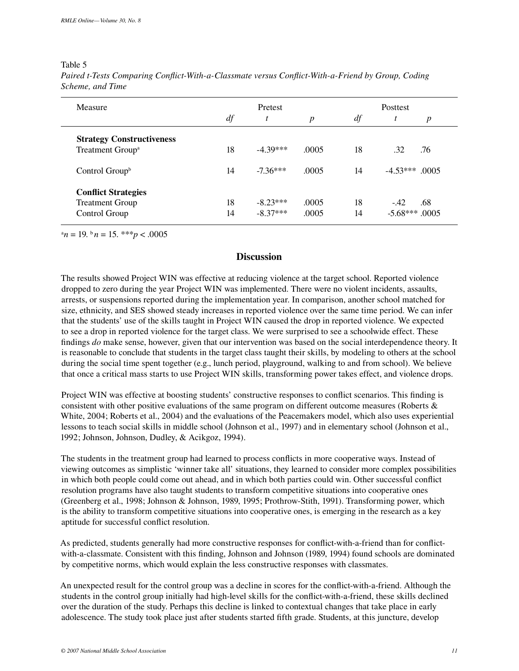# Table 5

| Measure                          | Pretest |            |                  | Posttest |                  |                  |
|----------------------------------|---------|------------|------------------|----------|------------------|------------------|
|                                  | df      | t          | $\boldsymbol{p}$ | df       | t                | $\boldsymbol{p}$ |
| <b>Strategy Constructiveness</b> |         |            |                  |          |                  |                  |
| Treatment Group <sup>a</sup>     | 18      | $-4.39***$ | .0005            | 18       | .32              | .76              |
| Control Group <sup>b</sup>       | 14      | $-7.36***$ | .0005            | 14       | $-4.53***$ .0005 |                  |
| <b>Conflict Strategies</b>       |         |            |                  |          |                  |                  |
| <b>Treatment Group</b>           | 18      | $-8.23***$ | .0005            | 18       | $-42$            | .68              |
| Control Group                    | 14      | $-8.37***$ | .0005            | 14       | $-5.68***.0005$  |                  |

*Paired t-Tests Comparing Conflict-With-a-Classmate versus Conflict-With-a-Friend by Group, Coding Scheme, and Time*

 $a_n = 19$ .  $b_n = 15$ . \*\*\* $p < .0005$ 

# **Discussion**

The results showed Project WIN was effective at reducing violence at the target school. Reported violence dropped to zero during the year Project WIN was implemented. There were no violent incidents, assaults, arrests, or suspensions reported during the implementation year. In comparison, another school matched for size, ethnicity, and SES showed steady increases in reported violence over the same time period. We can infer that the students' use of the skills taught in Project WIN caused the drop in reported violence. We expected to see a drop in reported violence for the target class. We were surprised to see a schoolwide effect. These findings *do* make sense, however, given that our intervention was based on the social interdependence theory. It is reasonable to conclude that students in the target class taught their skills, by modeling to others at the school during the social time spent together (e.g., lunch period, playground, walking to and from school). We believe that once a critical mass starts to use Project WIN skills, transforming power takes effect, and violence drops.

Project WIN was effective at boosting students' constructive responses to conflict scenarios. This finding is consistent with other positive evaluations of the same program on different outcome measures (Roberts & White, 2004; Roberts et al., 2004) and the evaluations of the Peacemakers model, which also uses experiential lessons to teach social skills in middle school (Johnson et al., 1997) and in elementary school (Johnson et al., 1992; Johnson, Johnson, Dudley, & Acikgoz, 1994).

The students in the treatment group had learned to process conflicts in more cooperative ways. Instead of viewing outcomes as simplistic 'winner take all' situations, they learned to consider more complex possibilities in which both people could come out ahead, and in which both parties could win. Other successful conflict resolution programs have also taught students to transform competitive situations into cooperative ones (Greenberg et al., 1998; Johnson & Johnson, 1989, 1995; Prothrow-Stith, 1991). Transforming power, which is the ability to transform competitive situations into cooperative ones, is emerging in the research as a key aptitude for successful conflict resolution.

As predicted, students generally had more constructive responses for conflict-with-a-friend than for conflictwith-a-classmate. Consistent with this finding, Johnson and Johnson (1989, 1994) found schools are dominated by competitive norms, which would explain the less constructive responses with classmates.

An unexpected result for the control group was a decline in scores for the conflict-with-a-friend. Although the students in the control group initially had high-level skills for the conflict-with-a-friend, these skills declined over the duration of the study. Perhaps this decline is linked to contextual changes that take place in early adolescence. The study took place just after students started fifth grade. Students, at this juncture, develop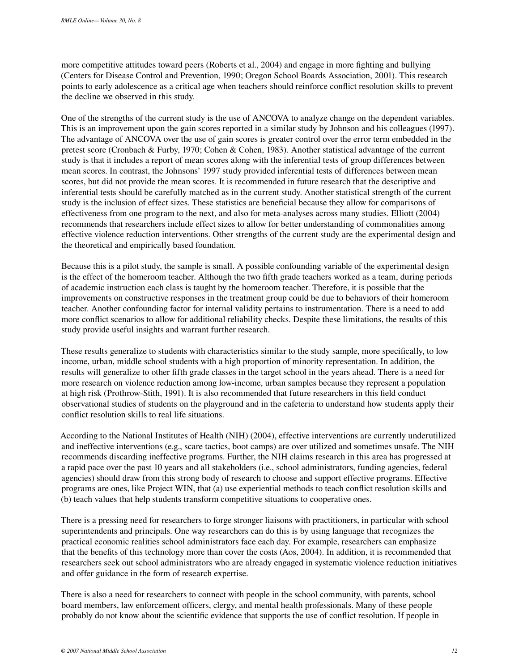more competitive attitudes toward peers (Roberts et al., 2004) and engage in more fighting and bullying (Centers for Disease Control and Prevention, 1990; Oregon School Boards Association, 2001). This research points to early adolescence as a critical age when teachers should reinforce conflict resolution skills to prevent the decline we observed in this study.

One of the strengths of the current study is the use of ANCOVA to analyze change on the dependent variables. This is an improvement upon the gain scores reported in a similar study by Johnson and his colleagues (1997). The advantage of ANCOVA over the use of gain scores is greater control over the error term embedded in the pretest score (Cronbach & Furby, 1970; Cohen & Cohen, 1983). Another statistical advantage of the current study is that it includes a report of mean scores along with the inferential tests of group differences between mean scores. In contrast, the Johnsons' 1997 study provided inferential tests of differences between mean scores, but did not provide the mean scores. It is recommended in future research that the descriptive and inferential tests should be carefully matched as in the current study. Another statistical strength of the current study is the inclusion of effect sizes. These statistics are beneficial because they allow for comparisons of effectiveness from one program to the next, and also for meta-analyses across many studies. Elliott (2004) recommends that researchers include effect sizes to allow for better understanding of commonalities among effective violence reduction interventions. Other strengths of the current study are the experimental design and the theoretical and empirically based foundation.

Because this is a pilot study, the sample is small. A possible confounding variable of the experimental design is the effect of the homeroom teacher. Although the two fifth grade teachers worked as a team, during periods of academic instruction each class is taught by the homeroom teacher. Therefore, it is possible that the improvements on constructive responses in the treatment group could be due to behaviors of their homeroom teacher. Another confounding factor for internal validity pertains to instrumentation. There is a need to add more conflict scenarios to allow for additional reliability checks. Despite these limitations, the results of this study provide useful insights and warrant further research.

These results generalize to students with characteristics similar to the study sample, more specifically, to low income, urban, middle school students with a high proportion of minority representation. In addition, the results will generalize to other fifth grade classes in the target school in the years ahead. There is a need for more research on violence reduction among low-income, urban samples because they represent a population at high risk (Prothrow-Stith, 1991). It is also recommended that future researchers in this field conduct observational studies of students on the playground and in the cafeteria to understand how students apply their conflict resolution skills to real life situations.

According to the National Institutes of Health (NIH) (2004), effective interventions are currently underutilized and ineffective interventions (e.g., scare tactics, boot camps) are over utilized and sometimes unsafe. The NIH recommends discarding ineffective programs. Further, the NIH claims research in this area has progressed at a rapid pace over the past 10 years and all stakeholders (i.e., school administrators, funding agencies, federal agencies) should draw from this strong body of research to choose and support effective programs. Effective programs are ones, like Project WIN, that (a) use experiential methods to teach conflict resolution skills and (b) teach values that help students transform competitive situations to cooperative ones.

There is a pressing need for researchers to forge stronger liaisons with practitioners, in particular with school superintendents and principals. One way researchers can do this is by using language that recognizes the practical economic realities school administrators face each day. For example, researchers can emphasize that the benefits of this technology more than cover the costs (Aos, 2004). In addition, it is recommended that researchers seek out school administrators who are already engaged in systematic violence reduction initiatives and offer guidance in the form of research expertise.

There is also a need for researchers to connect with people in the school community, with parents, school board members, law enforcement officers, clergy, and mental health professionals. Many of these people probably do not know about the scientific evidence that supports the use of conflict resolution. If people in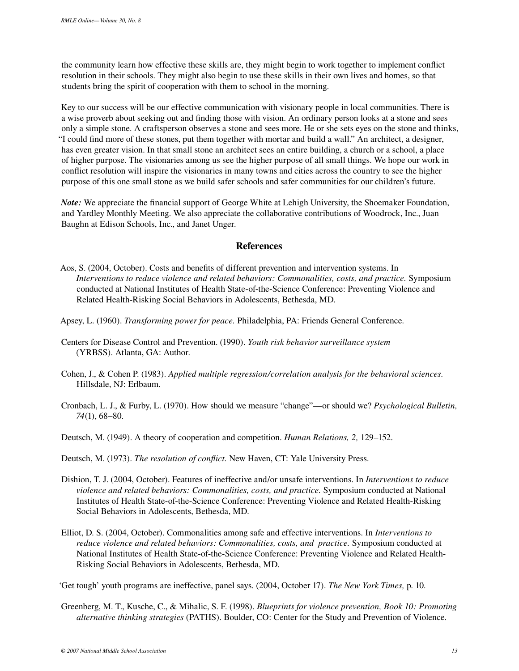the community learn how effective these skills are, they might begin to work together to implement conflict resolution in their schools. They might also begin to use these skills in their own lives and homes, so that students bring the spirit of cooperation with them to school in the morning.

Key to our success will be our effective communication with visionary people in local communities. There is a wise proverb about seeking out and finding those with vision. An ordinary person looks at a stone and sees only a simple stone. A craftsperson observes a stone and sees more. He or she sets eyes on the stone and thinks, "I could find more of these stones, put them together with mortar and build a wall." An architect, a designer, has even greater vision. In that small stone an architect sees an entire building, a church or a school, a place of higher purpose. The visionaries among us see the higher purpose of all small things. We hope our work in conflict resolution will inspire the visionaries in many towns and cities across the country to see the higher purpose of this one small stone as we build safer schools and safer communities for our children's future.

*Note:* We appreciate the financial support of George White at Lehigh University, the Shoemaker Foundation, and Yardley Monthly Meeting. We also appreciate the collaborative contributions of Woodrock, Inc., Juan Baughn at Edison Schools, Inc., and Janet Unger.

# **References**

- Aos, S. (2004, October). Costs and benefits of different prevention and intervention systems. In *Interventions to reduce violence and related behaviors: Commonalities, costs, and practice.* Symposium conducted at National Institutes of Health State-of-the-Science Conference: Preventing Violence and Related Health-Risking Social Behaviors in Adolescents, Bethesda, MD.
- Apsey, L. (1960). *Transforming power for peace.* Philadelphia, PA: Friends General Conference.
- Centers for Disease Control and Prevention. (1990). *Youth risk behavior surveillance system* (YRBSS). Atlanta, GA: Author.
- Cohen, J., & Cohen P. (1983). *Applied multiple regression/correlation analysis for the behavioral sciences.*  Hillsdale, NJ: Erlbaum.
- Cronbach, L. J., & Furby, L. (1970). How should we measure "change"—or should we? *Psychological Bulletin, 74*(1), 68–80.
- Deutsch, M. (1949). A theory of cooperation and competition. *Human Relations, 2,* 129–152.
- Deutsch, M. (1973). *The resolution of conflict.* New Haven, CT: Yale University Press.
- Dishion, T. J. (2004, October). Features of ineffective and/or unsafe interventions. In *Interventions to reduce violence and related behaviors: Commonalities, costs, and practice.* Symposium conducted at National Institutes of Health State-of-the-Science Conference: Preventing Violence and Related Health-Risking Social Behaviors in Adolescents, Bethesda, MD.
- Elliot, D. S. (2004, October). Commonalities among safe and effective interventions. In *Interventions to reduce violence and related behaviors: Commonalities, costs, and practice.* Symposium conducted at National Institutes of Health State-of-the-Science Conference: Preventing Violence and Related Health-Risking Social Behaviors in Adolescents, Bethesda, MD.

'Get tough' youth programs are ineffective, panel says. (2004, October 17). *The New York Times,* p. 10.

Greenberg, M. T., Kusche, C., & Mihalic, S. F. (1998). *Blueprints for violence prevention, Book 10: Promoting alternative thinking strategies* (PATHS). Boulder, CO: Center for the Study and Prevention of Violence.